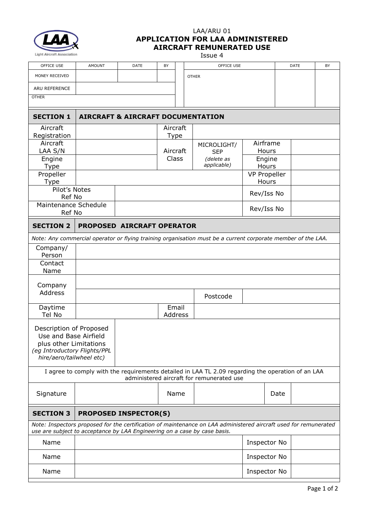

## LAA/ARU 01 **APPLICATION FOR LAA ADMINISTERED AIRCRAFT REMUNERATED USE**

 $I<sub>S</sub>$ 

|                                                                  |               |                                                                           |    |                   | 1220G 7                                                                                                                                        |                     |      |      |  |  |  |
|------------------------------------------------------------------|---------------|---------------------------------------------------------------------------|----|-------------------|------------------------------------------------------------------------------------------------------------------------------------------------|---------------------|------|------|--|--|--|
| OFFICE USE                                                       | <b>AMOUNT</b> | DATE                                                                      | BY |                   | OFFICE USE                                                                                                                                     |                     |      | DATE |  |  |  |
| MONEY RECEIVED                                                   |               |                                                                           |    |                   | <b>OTHER</b>                                                                                                                                   |                     |      |      |  |  |  |
| ARU REFERENCE                                                    |               |                                                                           |    |                   |                                                                                                                                                |                     |      |      |  |  |  |
| <b>OTHER</b>                                                     |               |                                                                           |    |                   |                                                                                                                                                |                     |      |      |  |  |  |
| <b>SECTION 1</b><br><b>AIRCRAFT &amp; AIRCRAFT DOCUMENTATION</b> |               |                                                                           |    |                   |                                                                                                                                                |                     |      |      |  |  |  |
| Aircraft                                                         |               |                                                                           |    | Aircraft          |                                                                                                                                                |                     |      |      |  |  |  |
| Registration                                                     |               |                                                                           |    | Type              |                                                                                                                                                |                     |      |      |  |  |  |
| Aircraft                                                         |               |                                                                           |    |                   | MICROLIGHT/                                                                                                                                    | Airframe<br>Hours   |      |      |  |  |  |
| LAA S/N<br>Engine                                                |               |                                                                           |    | Aircraft<br>Class | <b>SEP</b><br>(delete as                                                                                                                       | Engine              |      |      |  |  |  |
| Type                                                             |               |                                                                           |    |                   | applicable)                                                                                                                                    | Hours               |      |      |  |  |  |
| Propeller                                                        |               |                                                                           |    |                   |                                                                                                                                                | <b>VP Propeller</b> |      |      |  |  |  |
| Type                                                             |               |                                                                           |    |                   |                                                                                                                                                | Hours               |      |      |  |  |  |
| Pilot's Notes                                                    |               |                                                                           |    |                   |                                                                                                                                                | Rev/Iss No          |      |      |  |  |  |
| Ref No                                                           |               |                                                                           |    |                   |                                                                                                                                                |                     |      |      |  |  |  |
|                                                                  |               | Maintenance Schedule                                                      |    |                   |                                                                                                                                                | Rev/Iss No          |      |      |  |  |  |
| Ref No                                                           |               |                                                                           |    |                   |                                                                                                                                                |                     |      |      |  |  |  |
| <b>SECTION 2</b><br>PROPOSED AIRCRAFT OPERATOR                   |               |                                                                           |    |                   |                                                                                                                                                |                     |      |      |  |  |  |
|                                                                  |               |                                                                           |    |                   | Note: Any commercial operator or flying training organisation must be a current corporate member of the LAA.                                   |                     |      |      |  |  |  |
| Company/                                                         |               |                                                                           |    |                   |                                                                                                                                                |                     |      |      |  |  |  |
| Person<br>Contact                                                |               |                                                                           |    |                   |                                                                                                                                                |                     |      |      |  |  |  |
| Name                                                             |               |                                                                           |    |                   |                                                                                                                                                |                     |      |      |  |  |  |
|                                                                  |               |                                                                           |    |                   |                                                                                                                                                |                     |      |      |  |  |  |
| Company                                                          |               |                                                                           |    |                   |                                                                                                                                                |                     |      |      |  |  |  |
| <b>Address</b>                                                   |               |                                                                           |    |                   | Postcode                                                                                                                                       |                     |      |      |  |  |  |
| Daytime                                                          |               |                                                                           |    | Email             |                                                                                                                                                |                     |      |      |  |  |  |
| Tel No                                                           |               |                                                                           |    | Address           |                                                                                                                                                |                     |      |      |  |  |  |
| Description of Proposed<br>Use and Base Airfield                 |               |                                                                           |    |                   |                                                                                                                                                |                     |      |      |  |  |  |
| plus other Limitations<br>(eg Introductory Flights/PPL           |               |                                                                           |    |                   |                                                                                                                                                |                     |      |      |  |  |  |
| hire/aero/tailwheel etc)                                         |               |                                                                           |    |                   |                                                                                                                                                |                     |      |      |  |  |  |
|                                                                  |               |                                                                           |    |                   |                                                                                                                                                |                     |      |      |  |  |  |
|                                                                  |               |                                                                           |    |                   | I agree to comply with the requirements detailed in LAA TL 2.09 regarding the operation of an LAA<br>administered aircraft for remunerated use |                     |      |      |  |  |  |
| Signature                                                        |               |                                                                           |    | Name              |                                                                                                                                                |                     | Date |      |  |  |  |
|                                                                  |               |                                                                           |    |                   |                                                                                                                                                |                     |      |      |  |  |  |
| <b>SECTION 3</b><br><b>PROPOSED INSPECTOR(S)</b>                 |               |                                                                           |    |                   |                                                                                                                                                |                     |      |      |  |  |  |
|                                                                  |               | use are subject to acceptance by LAA Engineering on a case by case basis. |    |                   | Note: Inspectors proposed for the certification of maintenance on LAA administered aircraft used for remunerated                               |                     |      |      |  |  |  |
| Name                                                             |               |                                                                           |    | Inspector No      |                                                                                                                                                |                     |      |      |  |  |  |
| Name                                                             |               |                                                                           |    |                   |                                                                                                                                                | Inspector No        |      |      |  |  |  |
| Name                                                             |               |                                                                           |    |                   |                                                                                                                                                | Inspector No        |      |      |  |  |  |
|                                                                  |               |                                                                           |    |                   |                                                                                                                                                |                     |      |      |  |  |  |